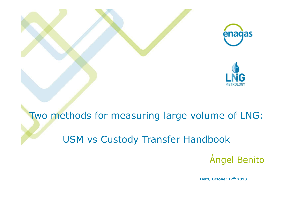

# Two methods for measuring large volume of LNG:

### **USM vs Custody Transfer Handbook**

**Ángel Benito** 

Delft, October 17th 2013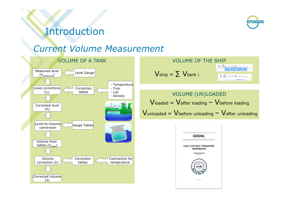

### Introduction

#### **Current Volume Measurement**



**Volume OF THE SHIP**

\n
$$
Jship = \sum \text{V tank} i
$$
\n**W**

\n

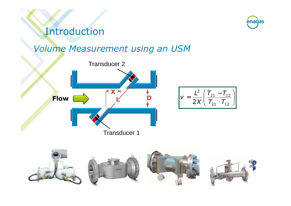### Introduction

#### **Volume Measurement using an USM**







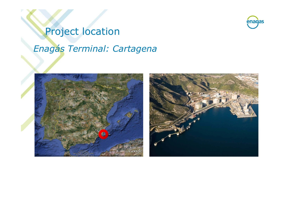# enagas

# **Project location** Enagás Terminal: Cartagena

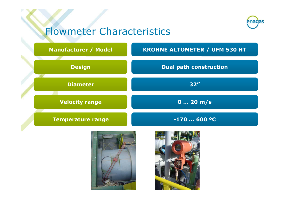# enagas

### **Flowmeter Characteristics**





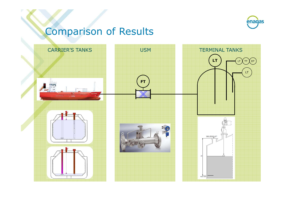

## **Comparison of Results**

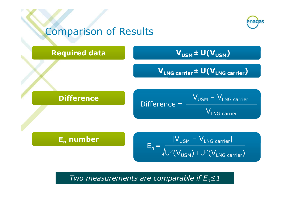

Two measurements are comparable if  $E_n \leq 1$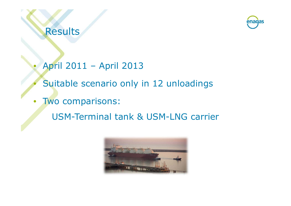**Results** 



- April 2011 April 2013
	- Suitable scenario only in 12 unloadings
- Two comparisons:  $\bullet$ 
	- **USM-Terminal tank & USM-LNG carrier**

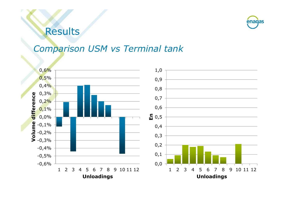### **Results**



#### **Comparison USM vs Terminal tank**

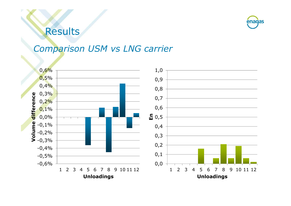### **Results**



#### **Comparison USM vs LNG carrier**

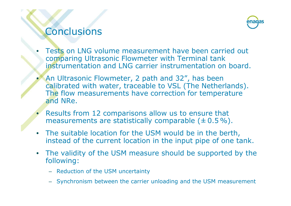### **Conclusions**



- Tests on LNG volume measurement have been carried out comparing Ultrasonic Flowmeter with Terminal tank instrumentation and LNG carrier instrumentation on board.
- An Ultrasonic Flowmeter, 2 path and 32", has been calibrated with water, traceable to VSL (The Netherlands). The flow measurements have correction for temperature and NRe.
- Results from 12 comparisons allow us to ensure that measurements are statistically comparable  $(±0.5\%)$ .
- The suitable location for the USM would be in the berth, instead of the current location in the input pipe of one tank.
- The validity of the USM measure should be supported by the following:
	- Reduction of the USM uncertainty
	- Synchronism between the carrier unloading and the USM measurement